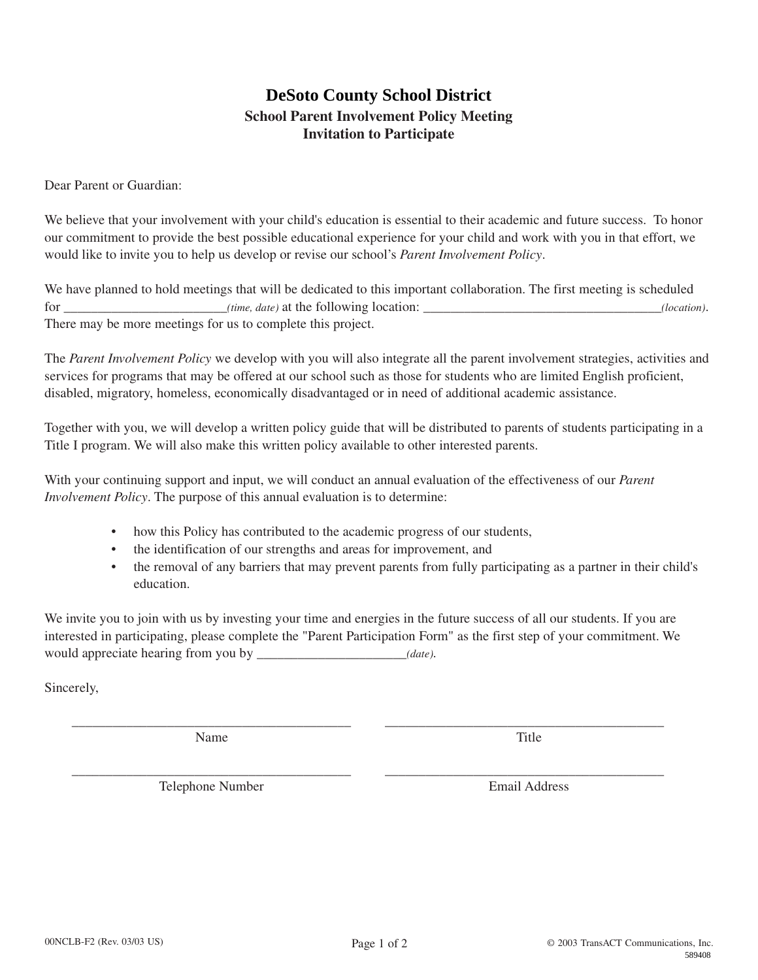# **School Parent Involvement Policy Meeting Invitation to Participate**

Dear Parent or Guardian:

We believe that your involvement with your child's education is essential to their academic and future success. To honor our commitment to provide the best possible educational experience for your child and work with you in that effort, we would like to invite you to help us develop or revise our school's *Parent Involvement Policy*.

We have planned to hold meetings that will be dedicated to this important collaboration. The first meeting is scheduled for \_\_\_\_\_\_\_\_\_\_\_\_\_\_\_\_\_\_\_\_\_\_\_\_*(time, date)* at the following location: \_\_\_\_\_\_\_\_\_\_\_\_\_\_\_\_\_\_\_\_\_\_\_\_\_\_\_\_\_\_\_\_\_\_\_*(location)*. There may be more meetings for us to complete this project.

The *Parent Involvement Policy* we develop with you will also integrate all the parent involvement strategies, activities and services for programs that may be offered at our school such as those for students who are limited English proficient, disabled, migratory, homeless, economically disadvantaged or in need of additional academic assistance. **DeSoto County School District**<br> **Cool Parent Involvement Policy Meeting**<br> **Invitation to Participate**<br>
Invitation to Participate<br>
our child's educational experience for your child and work with you in that effort, we<br>
our

Together with you, we will develop a written policy guide that will be distributed to parents of students participating in a Title I program. We will also make this written policy available to other interested parents.

With your continuing support and input, we will conduct an annual evaluation of the effectiveness of our *Parent Involvement Policy*. The purpose of this annual evaluation is to determine:

- how this Policy has contributed to the academic progress of our students,
- the identification of our strengths and areas for improvement, and
- the removal of any barriers that may prevent parents from fully participating as a partner in their child's education.

We invite you to join with us by investing your time and energies in the future success of all our students. If you are interested in participating, please complete the "Parent Participation Form" as the first step of your commitment. We would appreciate hearing from you by \_\_\_\_\_\_\_\_\_\_\_\_\_\_\_\_\_\_\_\_\_\_*(date)*.

\_\_\_\_\_\_\_\_\_\_\_\_\_\_\_\_\_\_\_\_\_\_\_\_\_\_\_\_\_\_\_\_\_\_\_\_\_\_\_\_\_ \_\_\_\_\_\_\_\_\_\_\_\_\_\_\_\_\_\_\_\_\_\_\_\_\_\_\_\_\_\_\_\_\_\_\_\_\_\_\_\_\_

Sincerely,

Name Title

\_\_\_\_\_\_\_\_\_\_\_\_\_\_\_\_\_\_\_\_\_\_\_\_\_\_\_\_\_\_\_\_\_\_\_\_\_\_\_\_\_ \_\_\_\_\_\_\_\_\_\_\_\_\_\_\_\_\_\_\_\_\_\_\_\_\_\_\_\_\_\_\_\_\_\_\_\_\_\_\_\_\_ Telephone Number Email Address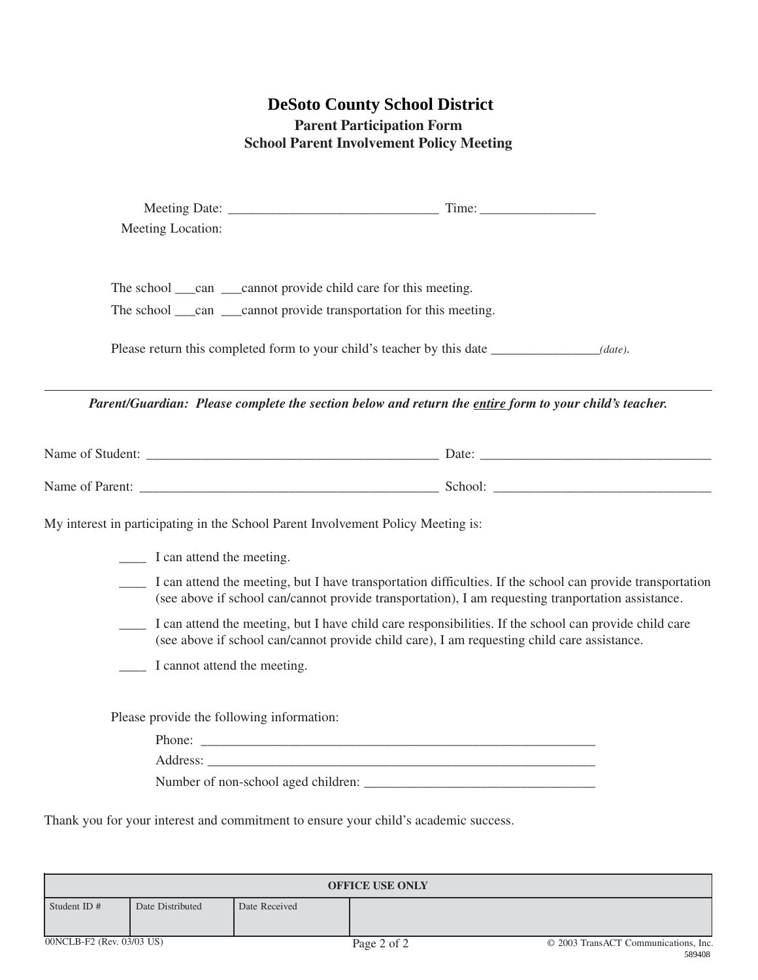# **Parent Participation Form School Parent Involvement Policy Meeting**

|                           |                                                           |                                           | <b>DeSoto County School District</b><br><b>Parent Participation Form</b><br><b>School Parent Involvement Policy Meeting</b>                                                      |                                                                                                                                                                                                                                                                                                                            |
|---------------------------|-----------------------------------------------------------|-------------------------------------------|----------------------------------------------------------------------------------------------------------------------------------------------------------------------------------|----------------------------------------------------------------------------------------------------------------------------------------------------------------------------------------------------------------------------------------------------------------------------------------------------------------------------|
|                           | Meeting Location:                                         |                                           |                                                                                                                                                                                  |                                                                                                                                                                                                                                                                                                                            |
|                           |                                                           |                                           | The school ____can ____cannot provide child care for this meeting.<br>The school ____can ____cannot provide transportation for this meeting.                                     |                                                                                                                                                                                                                                                                                                                            |
|                           |                                                           |                                           | Please return this completed form to your child's teacher by this date<br>Parent/Guardian: Please complete the section below and return the entire form to your child's teacher. | $(date)$ .                                                                                                                                                                                                                                                                                                                 |
|                           |                                                           |                                           |                                                                                                                                                                                  |                                                                                                                                                                                                                                                                                                                            |
|                           |                                                           |                                           |                                                                                                                                                                                  |                                                                                                                                                                                                                                                                                                                            |
|                           | I can attend the meeting.<br>I cannot attend the meeting. |                                           | My interest in participating in the School Parent Involvement Policy Meeting is:<br>(see above if school can/cannot provide child care), I am requesting child care assistance.  | I can attend the meeting, but I have transportation difficulties. If the school can provide transportation<br>(see above if school can/cannot provide transportation), I am requesting tranportation assistance.<br>I can attend the meeting, but I have child care responsibilities. If the school can provide child care |
|                           |                                                           | Please provide the following information: |                                                                                                                                                                                  |                                                                                                                                                                                                                                                                                                                            |
|                           |                                                           |                                           | Thank you for your interest and commitment to ensure your child's academic success.                                                                                              |                                                                                                                                                                                                                                                                                                                            |
|                           |                                                           |                                           | <b>OFFICE USE ONLY</b>                                                                                                                                                           |                                                                                                                                                                                                                                                                                                                            |
| Student ID#               | Date Distributed                                          | Date Received                             |                                                                                                                                                                                  |                                                                                                                                                                                                                                                                                                                            |
| 00NCLB-F2 (Rev. 03/03 US) |                                                           |                                           | Page 2 of 2                                                                                                                                                                      | © 2003 TransACT Communications, Inc.<br>589408                                                                                                                                                                                                                                                                             |

| <b>OFFICE USE ONLY</b>    |                  |               |             |                                                 |  |
|---------------------------|------------------|---------------|-------------|-------------------------------------------------|--|
| Student ID $#$            | Date Distributed | Date Received |             |                                                 |  |
| 00NCLB-F2 (Rev. 03/03 US) |                  |               | Page 2 of 2 | © 2003 TransACT Communications, Inc.<br>------- |  |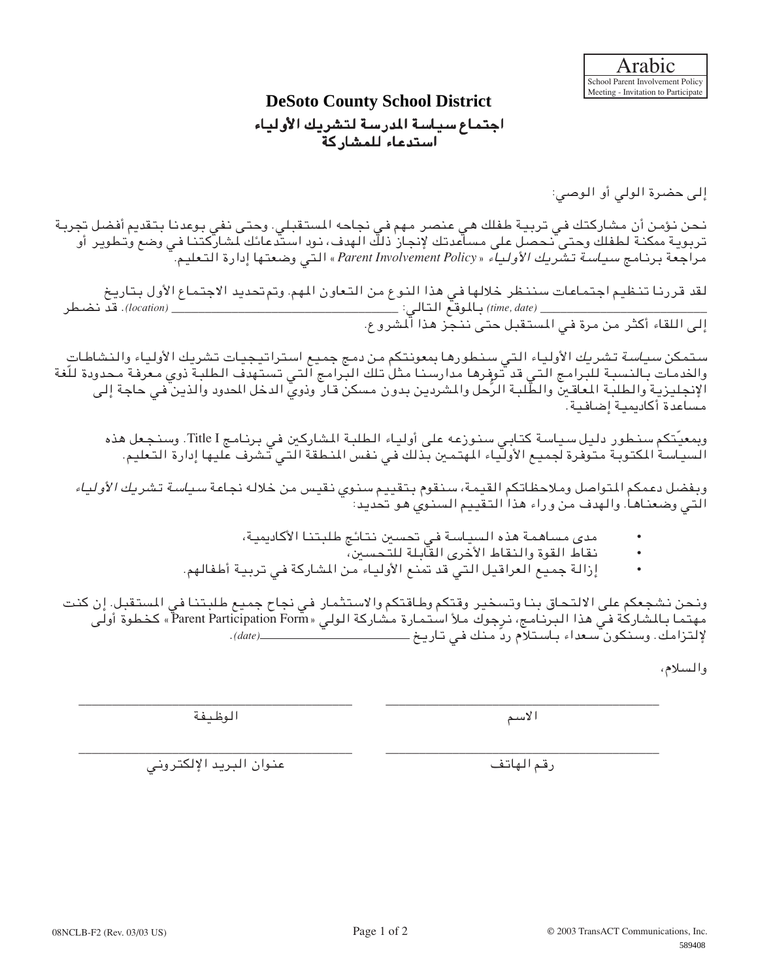# اجتماع سياسة المدرسة لتشريك الأولياء

استدعاء للمشاركة

إلى حضرة الولي أو الوصي:

نحن نؤمن أن مشاركتك في تربية طفلك هي عنصر مهم في نجاحه المستقبلي. وحتى نفي بوعدنا بتقديم أفضل تجربة بوتر ية ممكنة لطفلك وحتى نحصل على مساعدتك لإنجاز ذلك الهدف، نود استدعائك لمشاركتنا في وضع وتطوير أو مراجعة برنامج سياسة تشريك الأولياء «*Policy Involvement Parent* «التي وضعتها إدارة التعليم.

لقد قررنا تنظيم اجتماعات سننظر خلالها في هذا النوع من التعاون المهم. وتم تحديد الاجتماع الأول بتاريخ \_\_\_\_\_\_\_\_\_\_\_\_\_\_\_\_\_\_\_\_\_\_\_\_\_ *(date ,time (*بالموقع التالي: \_\_\_\_\_\_\_\_\_\_\_\_\_\_\_\_\_\_\_\_\_\_\_\_\_\_\_\_\_\_\_\_\_\_ *(location(*. قد نضطر إلى اللقاء أكثر من مرة في المستقبل حتى ننجز هذا المشروع.

ستمكن *سياسة* تشريك الأولياء التي سنطورها بمعونتكم من دمج جميع استراتيجيات تشريك الأولياء والنشاطات والخدمات بالنسبة للبرامج التي قد توفرها مدارسنا مثل تلك البرامج التي تستهدف الطلبة ذوي معرفة محدو ّ دة للغة الإنجليزية والطلبة المعاقين و ُّ الطلبة الرحل والمشردين بدون مسكن قار وذوي الدخل المحدود والذين في حاجة إلى مساعدة أكاديمية إضافية. المتعاونة التي تتناول المتحدة التي تتناول المتحدة التي تتناول المتحدة التي تتناول المتحدة التي تتناول المتحدة ا<br>المتحدة التي تتناول المتحدة التي تتناول المتحدة التي تتناول المتحدة التي تتناول المتحدة التي تتناول المتحدة ا

وبمعيَّتكم سنطور دليل سياسة كتابي سنوزعه على أولياء الطلبة المشاركين في برنامج Title I. وسنجعل هذه السياسة المكتوبة متوفرة لجميع الأولياء المهتمين بذلك في نفس المنطقة التي تشرف عليها إدارة التعليم.

وبفضل دعمكم المتواصل وملاحظاتكم القيمة، سنقوم بتقييم سنوي نقيس من خلاله نجاعة سياسة تشريك الأولياء التي وضعناها. والهدف من وراء هذا التقييم السنوي هو تحديد:

- مدى مساهمة هذه السياسة في تحسين نتائج طلبتنا الأكاديمية،
	- نقاط القوة والنقاط الأخرى القابلة للتحسين،
- إزالة جميع العراقيل التي قد تمنع الأولياء من المشاركة في تربية أطفالهم.

ونحن نشجعكم على الالتحاق بنا وتسخير وقتكم وطاقتكم والاستثمار في نجاح جميع طلبتنا في المستقبل. إن كنت مهتما بالمشاركة في هذا البرنامج، نرجوك ملأ استمارة مشاركة الولي «Form Participation Parent «كخطوة أولى لإلتزامك. وسنكون سعداء باستلام رّد منك في تاريخ *(date(*.

\_\_\_\_\_\_\_\_\_\_\_\_\_\_\_\_\_\_\_\_\_\_\_\_\_\_\_\_\_\_\_\_\_\_\_\_\_\_\_\_\_ \_\_\_\_\_\_\_\_\_\_\_\_\_\_\_\_\_\_\_\_\_\_\_\_\_\_\_\_\_\_\_\_\_\_\_\_\_\_\_\_\_

والسلام،

الاسم الوظيفة

\_\_\_\_\_\_\_\_\_\_\_\_\_\_\_\_\_\_\_\_\_\_\_\_\_\_\_\_\_\_\_\_\_\_\_\_\_\_\_\_\_ \_\_\_\_\_\_\_\_\_\_\_\_\_\_\_\_\_\_\_\_\_\_\_\_\_\_\_\_\_\_\_\_\_\_\_\_\_\_\_\_\_ رقم الهاتف عنوان البريد الإلكتروني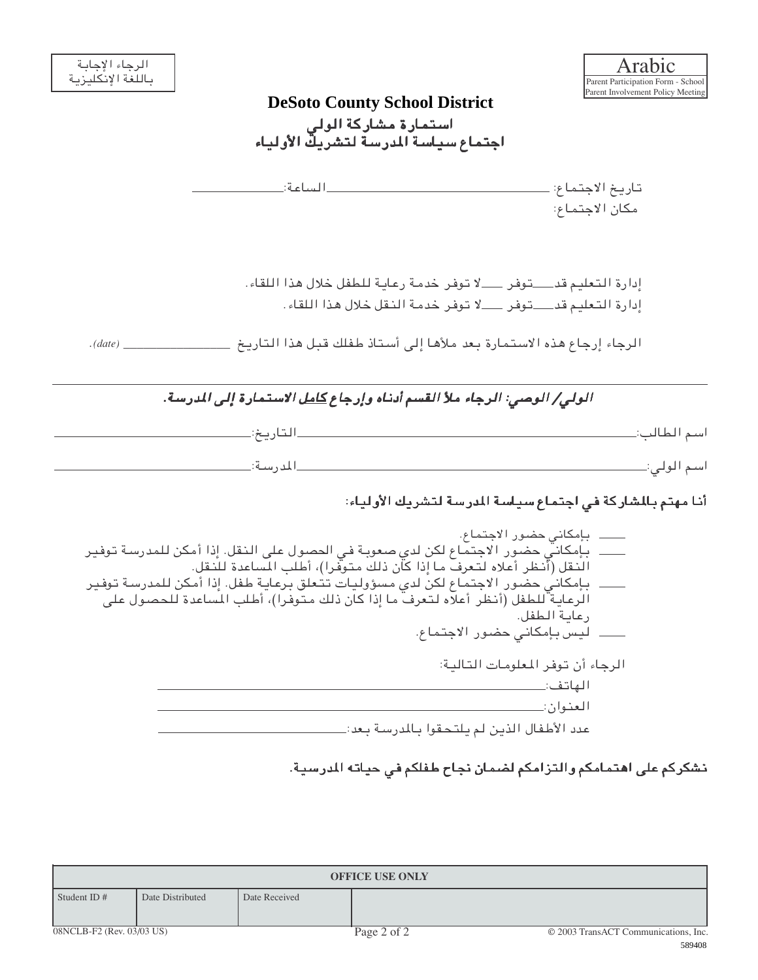| الرجاء الإجابة<br>باللغة الإنكليزية |               | Arabic<br>Parent Participation Form - School                                                                                                                                                                                                                                                                                                                                |
|-------------------------------------|---------------|-----------------------------------------------------------------------------------------------------------------------------------------------------------------------------------------------------------------------------------------------------------------------------------------------------------------------------------------------------------------------------|
|                                     |               | Parent Involvement Policy Meeting<br><b>DeSoto County School District</b>                                                                                                                                                                                                                                                                                                   |
|                                     |               | استمارة مشاركة الولى                                                                                                                                                                                                                                                                                                                                                        |
|                                     |               | اجتماع سياسة المدرسة لتشريك الأولياء                                                                                                                                                                                                                                                                                                                                        |
|                                     |               | تاريخ الاجتماع: _                                                                                                                                                                                                                                                                                                                                                           |
|                                     |               | مكان الاجتماع:                                                                                                                                                                                                                                                                                                                                                              |
|                                     |               | إدارة التعليم قدـــــتوفر ـــــلا توفر خدمة رعاية للطفل خلال هذا اللقاء.                                                                                                                                                                                                                                                                                                    |
|                                     |               | إدارة التعليم قد __توفر ___لا توفر خدمة النقل خلال هذا اللقاء.                                                                                                                                                                                                                                                                                                              |
| . (date)                            |               | الرجاء إرجاع هذه الاستمارة بعد ملأها إلى أستاذ طفلك قبل هذا التاريخ ______                                                                                                                                                                                                                                                                                                  |
|                                     |               | <i>الولي/ الوصي: الرجاء ملأ القسم أدنـاه وإرجاع <u>كامل</u> الاستمارة إلى المدرسة.</i>                                                                                                                                                                                                                                                                                      |
|                                     | ۔التاریخ≔     | اسم الطالب:_                                                                                                                                                                                                                                                                                                                                                                |
|                                     | ــالمدرسية:_  |                                                                                                                                                                                                                                                                                                                                                                             |
|                                     |               | أنا مهتم بالمشاركة في اجتماع سياسة المدرسة لتشريك الأولياء:                                                                                                                                                                                                                                                                                                                 |
|                                     |               | _____ بإمكانيّ حضور الاجتماع لكن لدى صعوبة في الحصول على النقل. إذا أمكن للمدرسة توفير<br>النقل (أنظر أعلاه لتعرفَ ما إذا كان ذلك متوفَّرا)، أطلب المساعدة للنقل.<br>بـإمكانـي حضـور الاجـتـمـاع لكن لدي مسؤوليـات تـتـعلق بـرعـايـة طـفل. إذا أمكن لـلمدرسـة تـوفـير<br>الرعاية ّللطفل (أنظر أعلّاه لتعرف ما إذا كان ذلك متوفرا)، أطلب المساعدة للحصول على<br>رعاية الطفل. |
|                                     |               | الرجاء أن توفر المعلومات التالية:                                                                                                                                                                                                                                                                                                                                           |
|                                     |               |                                                                                                                                                                                                                                                                                                                                                                             |
|                                     |               | العنوان:_<br>عدد الأطفال الذين لم يلتحقوا بالمدرسة بعد:_                                                                                                                                                                                                                                                                                                                    |
|                                     |               | نشكركم على اهتمامكم والتزامكم لضمان نجاح طفلكم في حياته المدرسية.                                                                                                                                                                                                                                                                                                           |
|                                     |               |                                                                                                                                                                                                                                                                                                                                                                             |
|                                     |               | <b>OFFICE USE ONLY</b>                                                                                                                                                                                                                                                                                                                                                      |
| Student ID#<br>Date Distributed     | Date Received |                                                                                                                                                                                                                                                                                                                                                                             |
| 08NCLB-F2 (Rev. 03/03 US)           |               | Page 2 of 2<br>© 2003 TransACT Communications, Inc.<br>589408                                                                                                                                                                                                                                                                                                               |

| <b>OFFICE USE ONLY</b>    |                  |               |             |                                      |  |
|---------------------------|------------------|---------------|-------------|--------------------------------------|--|
| Student ID#               | Date Distributed | Date Received |             |                                      |  |
| 08NCLB-F2 (Rev. 03/03 US) |                  |               | Page 2 of 2 | © 2003 TransACT Communications, Inc. |  |
|                           |                  |               |             | 500100                               |  |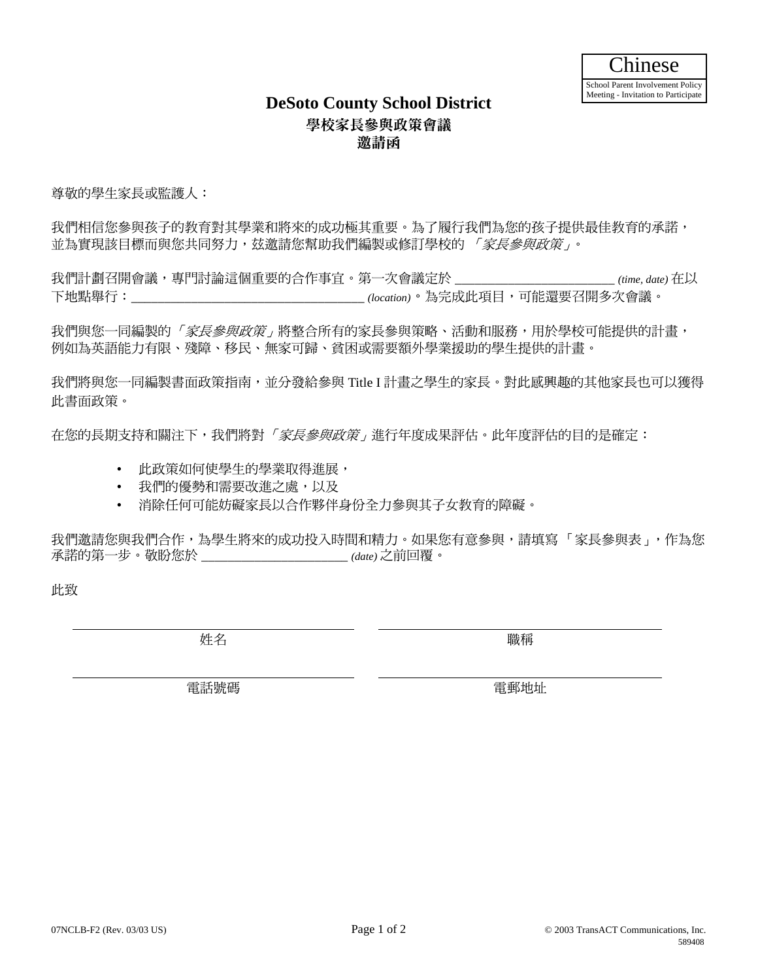### 學校家長參與政策會議 邀請函 **DeSoto County School District**

尊敬的學生家長或監護人:

我們相信您參與孩子的教育對其學業和將來的成功極其重要。為了履行我們為您的孩子提供最佳教育的承諾, 並為實現該目標而與您共同努力,玆邀請您幫助我們編製或修訂學校的*「家長參與政策」*。

我們計劃召開會議,專門討論這個重要的合作事宜。第一次會議定於 \_\_\_\_\_\_\_\_\_\_\_\_\_\_\_\_\_\_\_\_\_\_\_\_ *(time, date)* 在以 下地點舉行:\_\_\_\_\_\_\_\_\_\_\_\_\_\_\_\_\_\_\_\_\_\_\_\_\_\_\_\_\_\_\_\_\_\_*(location)*。為完成此項目,可能還要召開多次會議。

我們與您一同編製的「*家長參與政策」*將整合所有的家長參與策略、活動和服務,用於學校可能提供的計畫, 例如為英語能力有限、殘障、移民、無家可歸、貧困或需要額外學業援助的學生提供的計畫。

我們將與您一同編製書面政策指南,並分發給參與 Title I 計畫之學生的家長。對此感興趣的其他家長也可以獲得 此書面政策。

在您的長期支持和關注下,我們將對*「家長參與政策」*進行年度成果評估。此年度評估的目的是確定:

- 此政策如何使學生的學業取得進展,
- 我們的優勢和需要改進之處,以及
- 消除任何可能妨礙家長以合作夥伴身份全力參與其子女教育的障礙。

我們邀請您與我們合作,為學生將來的成功投入時間和精力。如果您有意參與,請填寫「家長參與表」,作為您 承諾的第一步。敬盼您於 \_\_\_\_\_\_\_\_\_\_\_\_\_\_\_\_\_\_\_\_\_\_ *(date)* 之前回覆。

此致

姓名 いっきょう しゅうしょう かいしょう りょうかい 職稱

電話號碼 電郵地址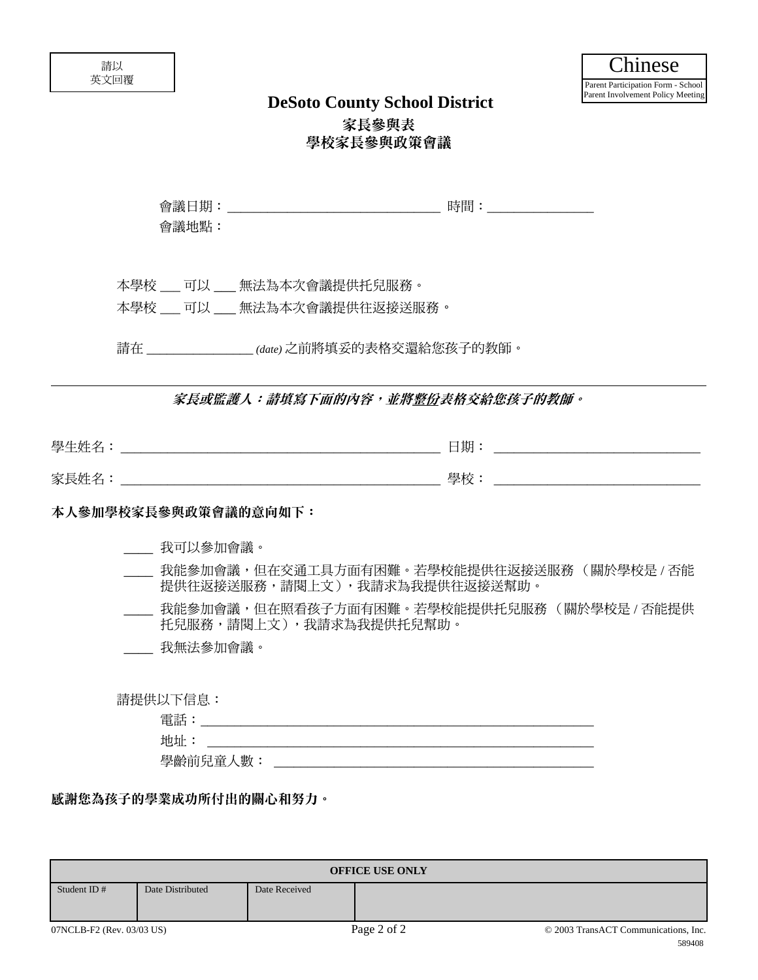| ∸<br>ॼ<br>-<br>൧ൄ<br>_<br>-<br>パマー | ىد<br>н,<br>-<br>- |
|------------------------------------|--------------------|
| 51<br>_<br><b>AVENUE</b><br>-      |                    |

| 學生姓名<br>حديجات<br>- | 日期               |
|---------------------|------------------|
| 家長姓名                | 舆桥<br>一二个个<br>╷┸ |

### 本人參加學校家長參與政策會議的意向如下:

- \_\_\_\_ 我可以參加會議。
- 我能參加會議,但在交通工具方面有困難。若學校能提供往返接送服務( 關於學校是 / 否能 提供往返接送服務,請閱上文),我請求為我提供往返接送幫助。
- 我能參加會議,但在照看孩子方面有困難。若學校能提供托兒服務(關於學校是 / 否能提供 托兒服務,請閱上文),我請求為我提供托兒幫助。
- \_\_\_\_ 我無法參加會議。

| 電話       |  |  |
|----------|--|--|
| 地址       |  |  |
| 學齡前兒童人數: |  |  |

|                           |                      |                                 | <b>DeSoto County School District</b>                                      | r arent involvement roncy meeting              |
|---------------------------|----------------------|---------------------------------|---------------------------------------------------------------------------|------------------------------------------------|
|                           |                      |                                 | 家長參與表                                                                     |                                                |
|                           |                      |                                 | 學校家長參與政策會議                                                                |                                                |
|                           | 會議地點:                |                                 |                                                                           |                                                |
|                           |                      |                                 |                                                                           |                                                |
|                           |                      | 本學校 ___ 可以 ___ 無法為本次會議提供托兒服務。   |                                                                           |                                                |
|                           |                      | 本學校 ___ 可以 ___ 無法為本次會議提供往返接送服務。 |                                                                           |                                                |
|                           |                      |                                 | 請在 (date) 之前將填妥的表格交還給您孩子的教師。                                              |                                                |
|                           |                      |                                 | 家長或監護人:請填寫下面的內容,並將整份表格交給您孩子的教師。                                           |                                                |
|                           |                      |                                 |                                                                           |                                                |
|                           |                      |                                 |                                                                           |                                                |
|                           | 本人參加學校家長參與政策會議的意向如下: |                                 |                                                                           |                                                |
|                           | ____ 我可以參加會議。        |                                 |                                                                           |                                                |
|                           |                      |                                 | 我能參加會議,但在交通工具方面有困難。若學校能提供往返接送服務(關於學校是/否能<br>提供往返接送服務,請閱上文),我請求為我提供往返接送幫助。 |                                                |
|                           |                      |                                 | 我能參加會議,但在照看孩子方面有困難。若學校能提供托兒服務 (關於學校是 / 否能提供<br>托兒服務,請閱上文),我請求為我提供托兒幫助。    |                                                |
|                           | _ 我無法參加會議。           |                                 |                                                                           |                                                |
|                           | 請提供以下信息:             |                                 |                                                                           |                                                |
|                           |                      |                                 |                                                                           |                                                |
|                           |                      |                                 |                                                                           |                                                |
|                           |                      |                                 |                                                                           |                                                |
|                           |                      | 感謝您為孩子的學業成功所付出的關心和努力。           |                                                                           |                                                |
|                           |                      |                                 |                                                                           |                                                |
|                           |                      |                                 | <b>OFFICE USE ONLY</b>                                                    |                                                |
| Student ID#               | Date Distributed     | Date Received                   |                                                                           |                                                |
| 07NCLB-F2 (Rev. 03/03 US) |                      |                                 | Page 2 of 2                                                               | © 2003 TransACT Communications, Inc.<br>589408 |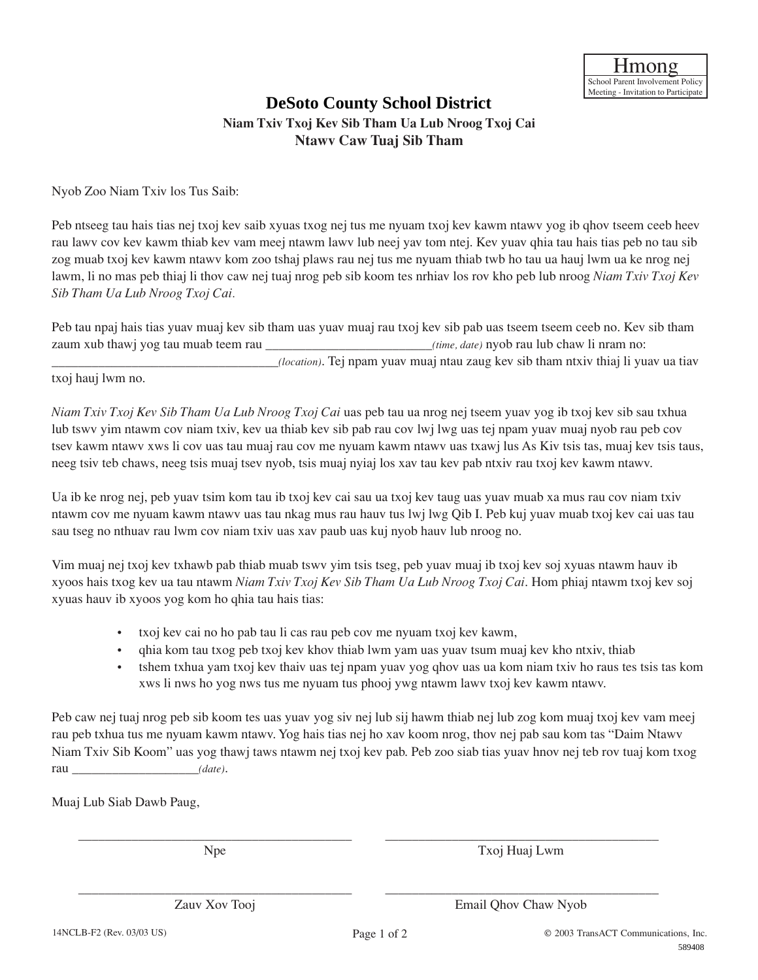### **Niam Txiv Txoj Kev Sib Tham Ua Lub Nroog Txoj Cai DeSoto County School District**

**Ntawv Caw Tuaj Sib Tham**

Nyob Zoo Niam Txiv los Tus Saib:

Peb ntseeg tau hais tias nej txoj kev saib xyuas txog nej tus me nyuam txoj kev kawm ntawv yog ib qhov tseem ceeb heev rau lawv cov kev kawm thiab kev vam meej ntawm lawv lub neej yav tom ntej. Kev yuav qhia tau hais tias peb no tau sib zog muab txoj kev kawm ntawv kom zoo tshaj plaws rau nej tus me nyuam thiab twb ho tau ua hauj lwm ua ke nrog nej lawm, li no mas peb thiaj li thov caw nej tuaj nrog peb sib koom tes nrhiav los rov kho peb lub nroog *Niam Txiv Txoj Kev Sib Tham Ua Lub Nroog Txoj Cai.*

Peb tau npaj hais tias yuav muaj kev sib tham uas yuav muaj rau txoj kev sib pab uas tseem tseem ceeb no. Kev sib tham zaum xub thawj yog tau muab teem rau  $_{(time, date)$  nyob rau lub chaw li nram no: \_\_\_\_\_\_\_\_\_\_\_\_\_\_\_\_\_\_\_\_\_\_\_\_\_\_\_\_\_\_\_\_\_\_*(location)*. Tej npam yuav muaj ntau zaug kev sib tham ntxiv thiaj li yuav ua tiav

txoj hauj lwm no.

*Niam Txiv Txoj Kev Sib Tham Ua Lub Nroog Txoj Cai* uas peb tau ua nrog nej tseem yuav yog ib txoj kev sib sau txhua lub tswv yim ntawm cov niam txiv, kev ua thiab kev sib pab rau cov lwj lwg uas tej npam yuav muaj nyob rau peb cov tsev kawm ntawv xws li cov uas tau muaj rau cov me nyuam kawm ntawv uas txawj lus As Kiv tsis tas, muaj kev tsis taus, neeg tsiv teb chaws, neeg tsis muaj tsev nyob, tsis muaj nyiaj los xav tau kev pab ntxiv rau txoj kev kawm ntawv.

Ua ib ke nrog nej, peb yuav tsim kom tau ib txoj kev cai sau ua txoj kev taug uas yuav muab xa mus rau cov niam txiv ntawm cov me nyuam kawm ntawv uas tau nkag mus rau hauv tus lwj lwg Qib I. Peb kuj yuav muab txoj kev cai uas tau sau tseg no nthuav rau lwm cov niam txiv uas xav paub uas kuj nyob hauv lub nroog no.

Vim muaj nej txoj kev txhawb pab thiab muab tswv yim tsis tseg, peb yuav muaj ib txoj kev soj xyuas ntawm hauv ib xyoos hais txog kev ua tau ntawm *Niam Txiv Txoj Kev Sib Tham Ua Lub Nroog Txoj Cai*. Hom phiaj ntawm txoj kev soj xyuas hauv ib xyoos yog kom ho qhia tau hais tias:

- txoj kev cai no ho pab tau li cas rau peb cov me nyuam txoj kev kawm,
- qhia kom tau txog peb txoj kev khov thiab lwm yam uas yuav tsum muaj kev kho ntxiv, thiab
- tshem txhua yam txoj kev thaiv uas tej npam yuav yog qhov uas ua kom niam txiv ho raus tes tsis tas kom xws li nws ho yog nws tus me nyuam tus phooj ywg ntawm lawv txoj kev kawm ntawv.

Peb caw nej tuaj nrog peb sib koom tes uas yuav yog siv nej lub sij hawm thiab nej lub zog kom muaj txoj kev vam meej rau peb txhua tus me nyuam kawm ntawv. Yog hais tias nej ho xav koom nrog, thov nej pab sau kom tas "Daim Ntawv Niam Txiv Sib Koom" uas yog thawj taws ntawm nej txoj kev pab. Peb zoo siab tias yuav hnov nej teb rov tuaj kom txog rau \_\_\_\_\_\_\_\_\_\_\_\_\_\_\_\_\_\_\_*(date)*.

Muaj Lub Siab Dawb Paug,

\_\_\_\_\_\_\_\_\_\_\_\_\_\_\_\_\_\_\_\_\_\_\_\_\_\_\_\_\_\_\_\_\_\_\_\_\_\_\_\_\_ \_\_\_\_\_\_\_\_\_\_\_\_\_\_\_\_\_\_\_\_\_\_\_\_\_\_\_\_\_\_\_\_\_\_\_\_\_\_\_\_\_

Npe Txoj Huaj Lwm

Zauv Xov Tooj Email Qhov Chaw Nyob

\_\_\_\_\_\_\_\_\_\_\_\_\_\_\_\_\_\_\_\_\_\_\_\_\_\_\_\_\_\_\_\_\_\_\_\_\_\_\_\_\_ \_\_\_\_\_\_\_\_\_\_\_\_\_\_\_\_\_\_\_\_\_\_\_\_\_\_\_\_\_\_\_\_\_\_\_\_\_\_\_\_\_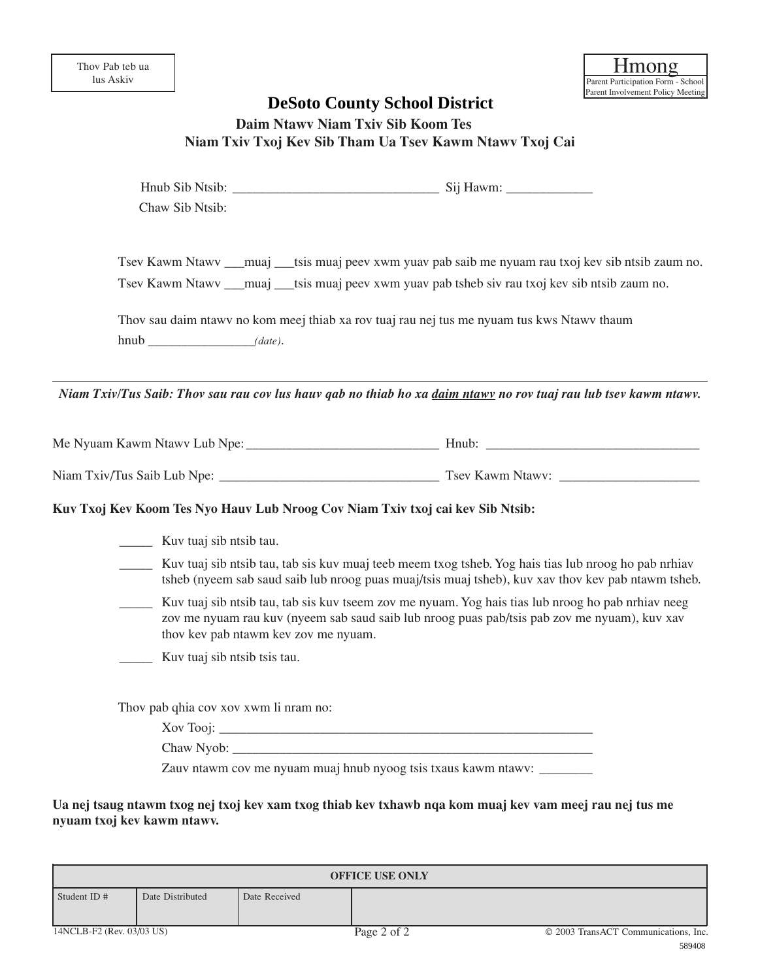## **Daim Ntawv Niam Txiv Sib Koom Tes Niam Txiv Txoj Kev Sib Tham Ua Tsev Kawm Ntawv Txoj Cai**

|                           |                                       |                                      | <b>DeSoto County School District</b>                                                                                                                                                                       |                                                |
|---------------------------|---------------------------------------|--------------------------------------|------------------------------------------------------------------------------------------------------------------------------------------------------------------------------------------------------------|------------------------------------------------|
|                           |                                       |                                      | Daim Ntawy Niam Txiv Sib Koom Tes                                                                                                                                                                          |                                                |
|                           |                                       |                                      | Niam Txiv Txoj Kev Sib Tham Ua Tsev Kawm Ntawv Txoj Cai                                                                                                                                                    |                                                |
|                           |                                       |                                      |                                                                                                                                                                                                            |                                                |
|                           |                                       |                                      |                                                                                                                                                                                                            |                                                |
|                           | Chaw Sib Ntsib:                       |                                      |                                                                                                                                                                                                            |                                                |
|                           |                                       |                                      | Tsev Kawm Ntawy ____muaj ____tsis muaj peev xwm yuav pab saib me nyuam rau txoj kev sib ntsib zaum no.                                                                                                     |                                                |
|                           |                                       |                                      | Tsev Kawm Ntawv ___muaj ___tsis muaj peev xwm yuav pab tsheb siv rau txoj kev sib ntsib zaum no.                                                                                                           |                                                |
|                           |                                       |                                      | Thov sau daim ntawy no kom meej thiab xa rov tuaj rau nej tus me nyuam tus kws Ntawy thaum                                                                                                                 |                                                |
|                           | hnub (date).                          |                                      |                                                                                                                                                                                                            |                                                |
|                           |                                       |                                      |                                                                                                                                                                                                            |                                                |
|                           |                                       |                                      | Niam Txiv/Tus Saib: Thov sau rau cov lus hauv gab no thiab ho xa daim ntawy no rov tuaj rau lub tsev kawm ntawv.                                                                                           |                                                |
|                           |                                       |                                      |                                                                                                                                                                                                            |                                                |
|                           |                                       |                                      |                                                                                                                                                                                                            |                                                |
|                           |                                       |                                      |                                                                                                                                                                                                            |                                                |
|                           |                                       |                                      | Kuv Txoj Kev Koom Tes Nyo Hauv Lub Nroog Cov Niam Txiv txoj cai kev Sib Ntsib:                                                                                                                             |                                                |
|                           | <b>Kuv</b> tuaj sib ntsib tau.        |                                      |                                                                                                                                                                                                            |                                                |
|                           |                                       |                                      | Kuv tuaj sib ntsib tau, tab sis kuv muaj teeb meem txog tsheb. Yog hais tias lub nroog ho pab nrhiav<br>tsheb (nyeem sab saud saib lub nroog puas muaj/tsis muaj tsheb), kuv xav thov kev pab ntawm tsheb. |                                                |
|                           |                                       |                                      | Kuv tuaj sib ntsib tau, tab sis kuv tseem zov me nyuam. Yog hais tias lub nroog ho pab nrhiav neeg<br>zov me nyuam rau kuv (nyeem sab saud saib lub nroog puas pab/tsis pab zov me nyuam), kuv xav         |                                                |
|                           |                                       | thov kev pab ntawm kev zov me nyuam. |                                                                                                                                                                                                            |                                                |
|                           | Kuv tuaj sib ntsib tsis tau.          |                                      |                                                                                                                                                                                                            |                                                |
|                           | Thov pab qhia cov xov xwm li nram no: |                                      |                                                                                                                                                                                                            |                                                |
|                           |                                       |                                      |                                                                                                                                                                                                            |                                                |
|                           |                                       |                                      |                                                                                                                                                                                                            |                                                |
|                           |                                       |                                      | Zauv ntawm cov me nyuam muaj hnub nyoog tsis txaus kawm ntawv:                                                                                                                                             |                                                |
|                           |                                       |                                      |                                                                                                                                                                                                            |                                                |
|                           | nyuam txoj kev kawm ntawv.            |                                      | Ua nej tsaug ntawm txog nej txoj kev xam txog thiab kev txhawb nqa kom muaj kev vam meej rau nej tus me                                                                                                    |                                                |
|                           |                                       |                                      |                                                                                                                                                                                                            |                                                |
|                           |                                       |                                      | <b>OFFICE USE ONLY</b>                                                                                                                                                                                     |                                                |
| Student ID#               | Date Distributed                      | Date Received                        |                                                                                                                                                                                                            |                                                |
|                           |                                       |                                      |                                                                                                                                                                                                            |                                                |
| 14NCLB-F2 (Rev. 03/03 US) |                                       |                                      | Page 2 of 2                                                                                                                                                                                                | © 2003 TransACT Communications, Inc.<br>589408 |

| <b>OFFICE USE ONLY</b>    |                  |               |                                      |        |  |  |
|---------------------------|------------------|---------------|--------------------------------------|--------|--|--|
|                           |                  |               |                                      |        |  |  |
| Student ID #              | Date Distributed | Date Received |                                      |        |  |  |
|                           |                  |               |                                      |        |  |  |
|                           |                  |               |                                      |        |  |  |
| 14NCLB-F2 (Rev. 03/03 US) |                  | Page 2 of 2   | © 2003 TransACT Communications, Inc. |        |  |  |
|                           |                  |               |                                      | 500100 |  |  |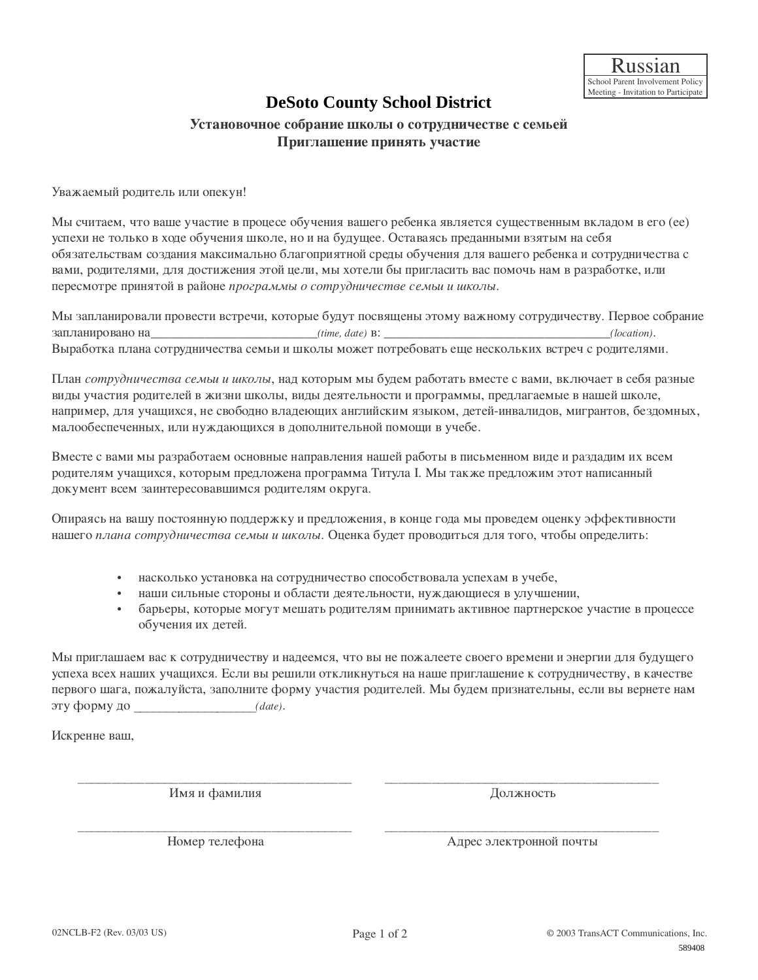### Установочное собрание школы о сотрудничестве с семьей Приглашение принять участие

Уважаемый родитель или опекун!

Мы считаем, что ваше участие в процесе обучения вашего ребенка является существенным вкладом в его (ее) успехи не только в ходе обучения школе, но и на будущее. Оставаясь преданными взятым на себя обязательствам создания максимально благоприятной среды обучения для вашего ребенка и сотрудничества с вами, родителями, для достижения этой цели, мы хотели бы пригласить вас помочь нам в разработке, или пересмотре принятой в районе программы о сотрудничестве семьи и школы. **DeSoto County School District<br>
correspondent means to comparameterise e centreй<br>
Information constructions of the means of the mean of the mean of the mean of the mean of the mean of the mean of the mean of the mean of t** 

Мы запланировали провести встречи, которые будут посвящены этому важному сотрудичеству. Первое собрание  $\Box$ 3апланировано на *(time, date)* B: *(location). (location).* Выработка плана сотрудничества семьи и школы может потребовать еще нескольких встреч с родителями.

План *сотрудничества семьи и школы*, над которым мы будем работать вместе с вами, включает в себя разные виды участия родителей в жизни школы, виды деятельности и программы, предлагаемые в нашей школе, например, для учащихся, не свободно владеющих английским языком, детей-инвалидов, мигрантов, бездомных, малообеспеченных, или нуждающихся в дополнительной помощи в учебе.

Вместе с вами мы разработаем основные направления нашей работы в письменном виде и раздадим их всем родителям учащихся, которым предложена программа Титула I. Мы также предложим этот написанный документ всем заинтересовавшимся родителям округа.

Опираясь на вашу постоянную поддержку и предложения, в конце года мы проведем оценку эффективности нашего *плана сотрудничества семьи и школы*. Оценка будет проводиться для того, чтобы определить:

- насколько установка на сотрудничество способствовала успехам в учебе,
- наши сильные стороны и области деятельности, нуждающиеся в улучшении,
- барьеры, которые могут мешать родителям принимать активное партнерское участие в процессе обучения их детей.

Мы приглашаем вас к сотрудничеству и надеемся, что вы не пожалеете своего времени и энергии для будущего успеха всех наших учащихся. Если вы решили откликнуться на наше приглашение к сотрудничеству, в качестве первого шага, пожалуйста, заполните форму участия родителей. Мы будем признательны, если вы вернете нам ˝ÚÛ ÙÓÏÛ ‰Ó \_\_\_\_\_\_\_\_\_\_\_\_\_\_\_\_\_\_\_*(date)*.

Искренне ваш,

 $\frac{1}{\sqrt{2\pi}}$   $\frac{1}{\sqrt{2\pi}}$   $\frac{1}{\sqrt{2\pi}}$   $\frac{1}{\sqrt{2\pi}}$   $\frac{1}{\sqrt{2\pi}}$   $\frac{1}{\sqrt{2\pi}}$   $\frac{1}{\sqrt{2\pi}}$   $\frac{1}{\sqrt{2\pi}}$   $\frac{1}{\sqrt{2\pi}}$   $\frac{1}{\sqrt{2\pi}}$   $\frac{1}{\sqrt{2\pi}}$   $\frac{1}{\sqrt{2\pi}}$   $\frac{1}{\sqrt{2\pi}}$   $\frac{1}{\sqrt{2\pi}}$   $\frac{1}{\sqrt{2\$ Имя и фамилия **и тематически** должность

\_\_\_\_\_\_\_\_\_\_\_\_\_\_\_\_\_\_\_\_\_\_\_\_\_\_\_\_\_\_\_\_\_\_\_\_\_\_\_\_\_ \_\_\_\_\_\_\_\_\_\_\_\_\_\_\_\_\_\_\_\_\_\_\_\_\_\_\_\_\_\_\_\_\_\_\_\_\_\_\_\_\_ çÓÏ ÚÂÎÂÙÓ̇ ĉÂÒ ˝ÎÂÍÚÓÌÌÓÈ ÔÓ˜Ú˚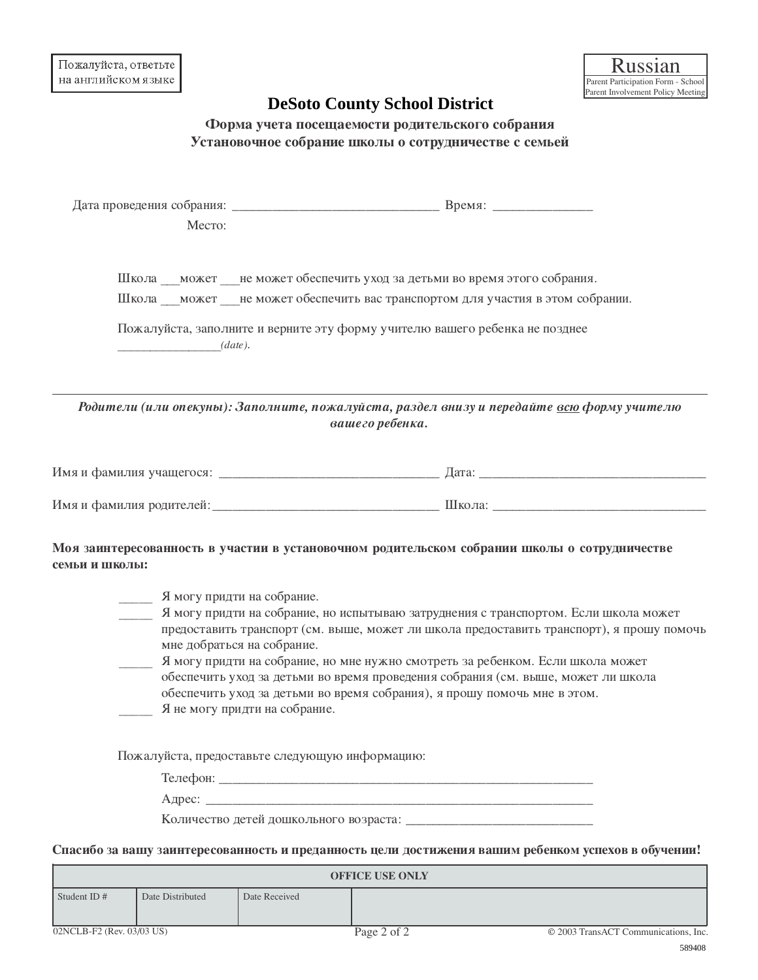|                           |                                                |                                                             | <b>DeSoto County School District</b> |                                                                                                                                                                                                                                                                                                                                                                                                                                                                                                                                   |                                                |
|---------------------------|------------------------------------------------|-------------------------------------------------------------|--------------------------------------|-----------------------------------------------------------------------------------------------------------------------------------------------------------------------------------------------------------------------------------------------------------------------------------------------------------------------------------------------------------------------------------------------------------------------------------------------------------------------------------------------------------------------------------|------------------------------------------------|
|                           |                                                |                                                             |                                      | Форма учета посещаемости родительского собрания<br>Установочное собрание школы о сотрудничестве с семьей                                                                                                                                                                                                                                                                                                                                                                                                                          |                                                |
|                           | Место:                                         |                                                             |                                      |                                                                                                                                                                                                                                                                                                                                                                                                                                                                                                                                   |                                                |
|                           |                                                |                                                             |                                      | Школа __ может __ не может обеспечить уход за детьми во время этого собрания.<br>Школа может не может обеспечить вас транспортом для участия в этом собрании.                                                                                                                                                                                                                                                                                                                                                                     |                                                |
|                           |                                                | (data).                                                     |                                      | Пожалуйста, заполните и верните эту форму учителю вашего ребенка не позднее                                                                                                                                                                                                                                                                                                                                                                                                                                                       |                                                |
|                           |                                                |                                                             | вашего ребенка.                      | Родители (или опекуны): Заполните, пожалуйста, раздел внизу и передайте всю форму учителю                                                                                                                                                                                                                                                                                                                                                                                                                                         |                                                |
|                           |                                                |                                                             |                                      |                                                                                                                                                                                                                                                                                                                                                                                                                                                                                                                                   |                                                |
|                           |                                                |                                                             |                                      |                                                                                                                                                                                                                                                                                                                                                                                                                                                                                                                                   |                                                |
| семьи и школы:            | Я могу придти на собрание.                     | мне добраться на собрание.<br>Я не могу придти на собрание. |                                      | Моя заинтересованность в участии в установочном родительском собрании школы о сотрудничестве<br>Я могу придти на собрание, но испытываю затруднения с транспортом. Если школа может<br>предоставить транспорт (см. выше, может ли школа предоставить транспорт), я прошу помочь<br>Я могу придти на собрание, но мне нужно смотреть за ребенком. Если школа может<br>обеспечить уход за детьми во время проведения собрания (см. выше, может ли школа<br>обеспечить уход за детьми во время собрания), я прошу помочь мне в этом. |                                                |
|                           | Пожалуйста, предоставьте следующую информацию: |                                                             | <b>OFFICE USE ONLY</b>               | Спасибо за вашу заинтересованность и преданность цели достижения вашим ребенком успехов в обучении!                                                                                                                                                                                                                                                                                                                                                                                                                               |                                                |
| Student ID#               | Date Distributed                               | Date Received                                               |                                      |                                                                                                                                                                                                                                                                                                                                                                                                                                                                                                                                   |                                                |
| 02NCLB-F2 (Rev. 03/03 US) |                                                |                                                             | Page 2 of 2                          |                                                                                                                                                                                                                                                                                                                                                                                                                                                                                                                                   | © 2003 TransACT Communications, Inc.<br>589408 |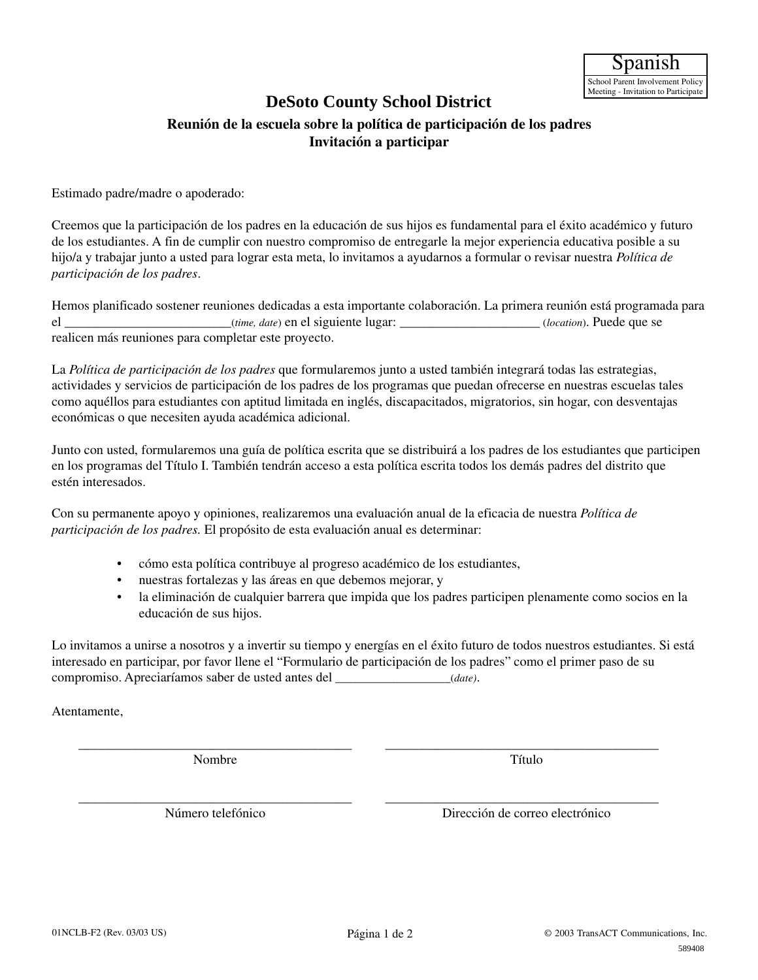### **DeSoto County School District**

### **Reunión de la escuela sobre la política de participación de los padres Invitación a participar**

Estimado padre/madre o apoderado:

Creemos que la participación de los padres en la educación de sus hijos es fundamental para el éxito académico y futuro de los estudiantes. A fin de cumplir con nuestro compromiso de entregarle la mejor experiencia educativa posible a su hijo/a y trabajar junto a usted para lograr esta meta, lo invitamos a ayudarnos a formular o revisar nuestra *Política de participación de los padres*.

Hemos planificado sostener reuniones dedicadas a esta importante colaboración. La primera reunión está programada para el \_\_\_\_\_\_\_\_\_\_\_\_\_\_\_\_\_\_\_\_\_\_\_\_\_(*time, date*) en el siguiente lugar: \_\_\_\_\_\_\_\_\_\_\_\_\_\_\_\_\_\_\_\_\_ (*location*). Puede que se realicen más reuniones para completar este proyecto.

La *Política de participación de los padres* que formularemos junto a usted también integrará todas las estrategias, actividades y servicios de participación de los padres de los programas que puedan ofrecerse en nuestras escuelas tales como aquéllos para estudiantes con aptitud limitada en inglés, discapacitados, migratorios, sin hogar, con desventajas económicas o que necesiten ayuda académica adicional.

Junto con usted, formularemos una guía de política escrita que se distribuirá a los padres de los estudiantes que participen en los programas del Título I. También tendrán acceso a esta política escrita todos los demás padres del distrito que estén interesados.

Con su permanente apoyo y opiniones, realizaremos una evaluación anual de la eficacia de nuestra *Política de participación de los padres.* El propósito de esta evaluación anual es determinar:

- cómo esta política contribuye al progreso académico de los estudiantes,
- nuestras fortalezas y las áreas en que debemos mejorar, y
- la eliminación de cualquier barrera que impida que los padres participen plenamente como socios en la educación de sus hijos.

Lo invitamos a unirse a nosotros y a invertir su tiempo y energías en el éxito futuro de todos nuestros estudiantes. Si está interesado en participar, por favor llene el "Formulario de participación de los padres" como el primer paso de su compromiso. Apreciaríamos saber de usted antes del \_\_\_\_\_\_\_\_\_\_\_\_\_\_\_\_\_\_\_(*date)*.

\_\_\_\_\_\_\_\_\_\_\_\_\_\_\_\_\_\_\_\_\_\_\_\_\_\_\_\_\_\_\_\_\_\_\_\_\_\_\_\_\_ \_\_\_\_\_\_\_\_\_\_\_\_\_\_\_\_\_\_\_\_\_\_\_\_\_\_\_\_\_\_\_\_\_\_\_\_\_\_\_\_\_

Atentamente,

\_\_\_\_\_\_\_\_\_\_\_\_\_\_\_\_\_\_\_\_\_\_\_\_\_\_\_\_\_\_\_\_\_\_\_\_\_\_\_\_\_ \_\_\_\_\_\_\_\_\_\_\_\_\_\_\_\_\_\_\_\_\_\_\_\_\_\_\_\_\_\_\_\_\_\_\_\_\_\_\_\_\_ Nombre Título

Número telefónico Dirección de correo electrónico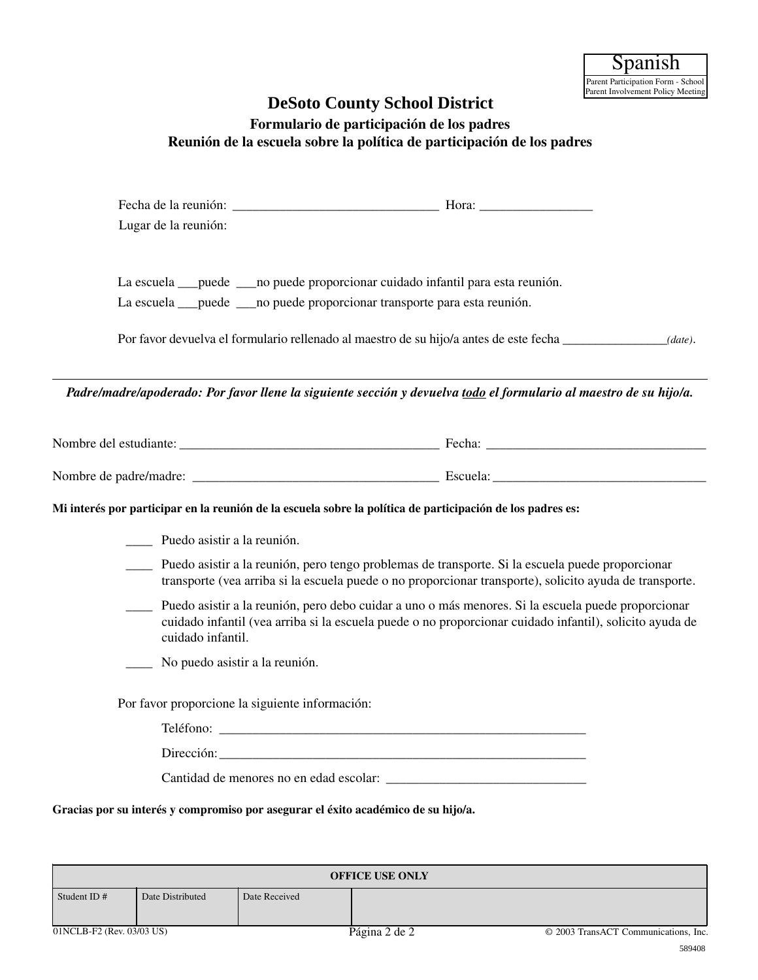# **Formulario de participación de los padres Reunión de la escuela sobre la política de participación de los padres**

|                                                                                                                    |                                                 | <b>DeSoto County School District</b>                                                                                                                                                                          |                                               |
|--------------------------------------------------------------------------------------------------------------------|-------------------------------------------------|---------------------------------------------------------------------------------------------------------------------------------------------------------------------------------------------------------------|-----------------------------------------------|
|                                                                                                                    |                                                 | Formulario de participación de los padres<br>Reunión de la escuela sobre la política de participación de los padres                                                                                           |                                               |
| Lugar de la reunión:                                                                                               |                                                 |                                                                                                                                                                                                               |                                               |
|                                                                                                                    |                                                 | La escuela ___ puede ____ no puede proporcionar cuidado infantil para esta reunión.<br>La escuela __puede ___ no puede proporcionar transporte para esta reunión.                                             |                                               |
|                                                                                                                    |                                                 | Por favor devuelva el formulario rellenado al maestro de su hijo/a antes de este fecha                                                                                                                        | (data).                                       |
| Padre/madre/apoderado: Por favor llene la siguiente sección y devuelva todo el formulario al maestro de su hijo/a. |                                                 |                                                                                                                                                                                                               |                                               |
|                                                                                                                    |                                                 |                                                                                                                                                                                                               |                                               |
|                                                                                                                    |                                                 |                                                                                                                                                                                                               |                                               |
| Mi interés por participar en la reunión de la escuela sobre la política de participación de los padres es:         |                                                 |                                                                                                                                                                                                               |                                               |
| Puedo asistir a la reunión.                                                                                        |                                                 |                                                                                                                                                                                                               |                                               |
|                                                                                                                    |                                                 | Puedo asistir a la reunión, pero tengo problemas de transporte. Si la escuela puede proporcionar<br>transporte (vea arriba si la escuela puede o no proporcionar transporte), solicito ayuda de transporte.   |                                               |
| cuidado infantil.                                                                                                  |                                                 | Puedo asistir a la reunión, pero debo cuidar a uno o más menores. Si la escuela puede proporcionar<br>cuidado infantil (vea arriba si la escuela puede o no proporcionar cuidado infantil), solicito ayuda de |                                               |
|                                                                                                                    | No puedo asistir a la reunión.                  |                                                                                                                                                                                                               |                                               |
|                                                                                                                    | Por favor proporcione la siguiente información: |                                                                                                                                                                                                               |                                               |
|                                                                                                                    |                                                 |                                                                                                                                                                                                               |                                               |
|                                                                                                                    |                                                 |                                                                                                                                                                                                               |                                               |
|                                                                                                                    |                                                 |                                                                                                                                                                                                               |                                               |
| Gracias por su interés y compromiso por asegurar el éxito académico de su hijo/a.                                  |                                                 |                                                                                                                                                                                                               |                                               |
|                                                                                                                    |                                                 | <b>OFFICE USE ONLY</b>                                                                                                                                                                                        |                                               |
| Date Distributed<br>Student ID#                                                                                    | Date Received                                   |                                                                                                                                                                                                               |                                               |
| 01NCLB-F2 (Rev. 03/03 US)                                                                                          |                                                 | Página 2 de 2                                                                                                                                                                                                 | © 2003 TransACT Communications, Inc<br>589408 |

| <b>OFFICE USE ONLY</b>    |                  |               |               |                                      |  |
|---------------------------|------------------|---------------|---------------|--------------------------------------|--|
| Student ID $#$            | Date Distributed | Date Received |               |                                      |  |
| 01NCLB-F2 (Rev. 03/03 US) |                  |               | Página 2 de 2 | © 2003 TransACT Communications, Inc. |  |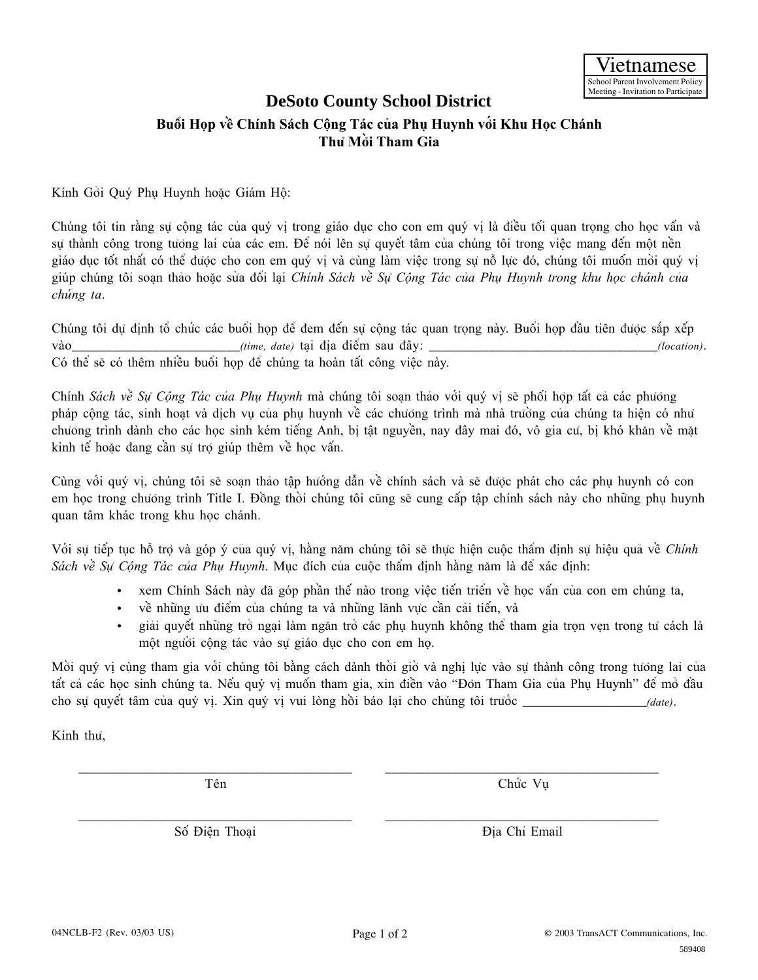# **Bu°i H†p vŠ Chính Sách C¶ng Tác cûa Phø Huynh v§i Khu H†c Chánh ThÜ M©i Tham Gia**

Kính Gởi Quý Phu Huynh hoặc Giám Hộ:

Chúng tôi tin rằng sự công tác của quý vi trong giáo dục cho con em quý vi là điều tối quan trong cho học vấn và sự thành công trong tưởng lai của các em. Để nói lên sự quyết tâm của chúng tôi trong việc mang đến một nền giáo dục tốt nhất có thể được cho con em quý vi và cùng làm việc trong sự nỗ lực đó, chúng tôi muốn mởi quý vi giúp chúng tôi soan thảo hoặc sửa đổi lại *Chính Sách về Sư Công Tác của Phu Huynh trong khu học chánh của chúng ta*. **DeSoto County School District**<br>
In Salen Cong Take case Pan Huynh vất Khu Học Chánh<br>
In Salen Công Take case Pan Huynh vất Khu Học Chánh<br>
Iii,<br>
Iii,<br>
Iii,<br>
Iii,<br>
The road giáo dục cho con ern quý vị là diều tiối quan trọ

Chúng tôi dự định tổ chức các buổi họp để đem đến sự cộng tác quan trọng này. Buổi họp đầu tiên được sắp xếp vào *(time, date)* tai điểm sau đây:  $(location)$ . Có thể sẽ có thêm nhiều buổi họp để chúng ta hoàn tất công việc này.

Chính *Sách về Sư Công Tác của Phu Huynh* mà chúng tôi soạn thảo với quý vi sẽ phối hợp tất cả các phương pháp cộng tác, sinh hoạt và dịch vụ của phụ huynh về các chưởng trình mà nhà trường của chúng ta hiện có như chưởng trình dành cho các học sinh kém tiếng Anh, bì tật nguyền, nay đây mai đó, vô gia cư, bì khó khăn về mặt kinh tế hoặc đang cần sự trợ giúp thêm về học vấn.

Cùng vối quý vị, chúng tôi sẽ soạn thảo tập huống dẫn về chính sách và sẽ được phát cho các phụ huynh có con em hoc trong chưởng trình Title I. Đồng thời chúng tôi cũng sẽ cung cấp tập chính sách này cho những phu huynh quan tâm khác trong khu học chánh.

Vối sự tiếp tục hỗ trợ và góp ý của quý vị, hằng năm chúng tôi sẽ thực hiện cuộc thẩm định sự hiệu quả về *Chính Sách về Sự Công Tác của Phu Huynh*. Mục đích của cuộc thẩm đinh hằng năm là để xác đinh:

- xem Chính Sách này đã góp phần thế nào trong việc tiến triển về học vấn của con em chúng ta,
- về những ưu điểm của chúng ta và những lãnh vực cần cải tiến, và
- giải quyết những trở ngại làm ngăn trở các phụ huynh không thể tham gia trọn vẹn trong tư cách là môt người công tác vào sự giáo dục cho con em họ.

Mồi quý vị cùng tham gia với chúng tôi bằng cách dành thời giờ và nghị lực vào sự thành công trong tưởng lai của tất cả các học sinh chúng ta. Nếu quý vị muốn tham gia, xin điền vào "Đỏn Tham Gia của Phụ Huynh" để mở đầu cho sự quyết tâm của quý vị. Xin quý vị vui lòng hồi báo lại cho chúng tôi trước \_\_\_\_\_\_\_\_\_\_\_\_\_\_\_\_\_\_\_\_(date).

Kính thủ.

\_\_\_\_\_\_\_\_\_\_\_\_\_\_\_\_\_\_\_\_\_\_\_\_\_\_\_\_\_\_\_\_\_\_\_\_\_\_\_\_\_ \_\_\_\_\_\_\_\_\_\_\_\_\_\_\_\_\_\_\_\_\_\_\_\_\_\_\_\_\_\_\_\_\_\_\_\_\_\_\_\_\_

Tên Chức Vu

\_\_\_\_\_\_\_\_\_\_\_\_\_\_\_\_\_\_\_\_\_\_\_\_\_\_\_\_\_\_\_\_\_\_\_\_\_\_\_\_\_ \_\_\_\_\_\_\_\_\_\_\_\_\_\_\_\_\_\_\_\_\_\_\_\_\_\_\_\_\_\_\_\_\_\_\_\_\_\_\_\_\_ Số Điên Thoại **Dia Chỉ Email**